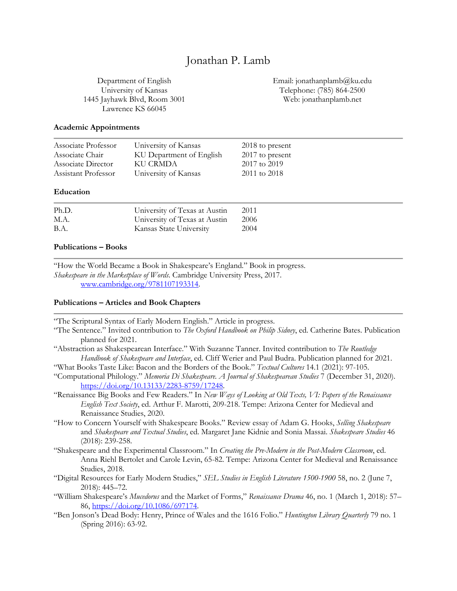# Jonathan P. Lamb

Department of English University of Kansas 1445 Jayhawk Blvd, Room 3001 Lawrence KS 66045

Email: jonathanplamb@ku.edu Telephone: (785) 864-2500 Web: jonathanplamb.net

#### **Academic Appointments**

| Associate Professor | University of Kansas     | 2018 to present |
|---------------------|--------------------------|-----------------|
| Associate Chair     | KU Department of English | 2017 to present |
| Associate Director  | KU CRMDA                 | 2017 to 2019    |
| Assistant Professor | University of Kansas     | 2011 to 2018    |
| Education           |                          |                 |

| Ph.D. | University of Texas at Austin | 2011 |
|-------|-------------------------------|------|
| M.A.  | University of Texas at Austin | 2006 |
| B.A.  | Kansas State University       | 2004 |

### **Publications – Books**

"How the World Became a Book in Shakespeare's England." Book in progress. *Shakespeare in the Marketplace of Words*. Cambridge University Press, 2017. www.cambridge.org/9781107193314.

#### **Publications – Articles and Book Chapters**

"The Scriptural Syntax of Early Modern English." Article in progress.

- "The Sentence." Invited contribution to *The Oxford Handbook on Philip Sidney*, ed. Catherine Bates. Publication planned for 2021.
- "Abstraction as Shakespearean Interface." With Suzanne Tanner. Invited contribution to *The Routledge Handbook of Shakespeare and Interface*, ed. Cliff Werier and Paul Budra. Publication planned for 2021.

"What Books Taste Like: Bacon and the Borders of the Book." *Textual Cultures* 14.1 (2021): 97-105.

"Computational Philology." *Memoria Di Shakespeare. A Journal of Shakespearean Studies* 7 (December 31, 2020). https://doi.org/10.13133/2283-8759/17248.

"Renaissance Big Books and Few Readers." In *New Ways of Looking at Old Texts, VI: Papers of the Renaissance English Text Society*, ed. Arthur F. Marotti, 209-218. Tempe: Arizona Center for Medieval and Renaissance Studies, 2020.

"How to Concern Yourself with Shakespeare Books." Review essay of Adam G. Hooks, *Selling Shakespeare* and *Shakespeare and Textual Studies*, ed. Margaret Jane Kidnie and Sonia Massai. *Shakespeare Studies* 46 (2018): 239-258.

"Shakespeare and the Experimental Classroom." In *Creating the Pre-Modern in the Post-Modern Classroom*, ed. Anna Riehl Bertolet and Carole Levin, 65-82. Tempe: Arizona Center for Medieval and Renaissance Studies, 2018.

- "Digital Resources for Early Modern Studies," *SEL Studies in English Literature 1500-1900* 58, no. 2 (June 7, 2018): 445–72.
- "William Shakespeare's *Mucedorus* and the Market of Forms," *Renaissance Drama* 46, no. 1 (March 1, 2018): 57– 86, https://doi.org/10.1086/697174.

"Ben Jonson's Dead Body: Henry, Prince of Wales and the 1616 Folio." *Huntington Library Quarterly* 79 no. 1 (Spring 2016): 63-92.